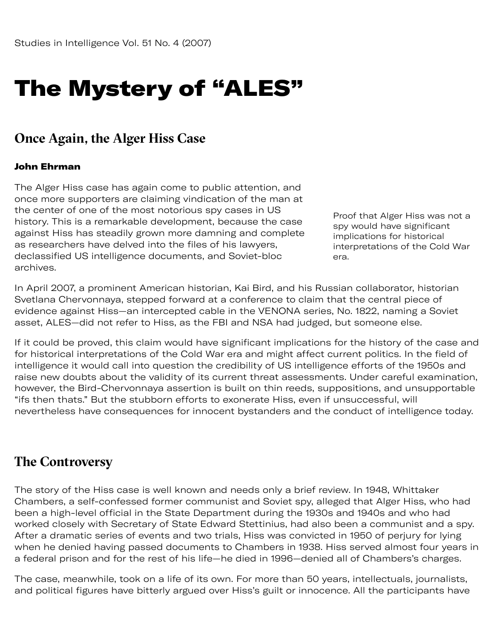# The Mystery of "ALES"

#### **Once Again, the Alger Hiss Case**

#### John Ehrman

The Alger Hiss case has again come to public attention, and once more supporters are claiming vindication of the man at the center of one of the most notorious spy cases in US history. This is a remarkable development, because the case against Hiss has steadily grown more damning and complete as researchers have delved into the files of his lawyers, declassified US intelligence documents, and Soviet-bloc archives.

Proof that Alger Hiss was not a spy would have significant implications for historical interpretations of the Cold War era.

In April 2007, a prominent American historian, Kai Bird, and his Russian collaborator, historian Svetlana Chervonnaya, stepped forward at a conference to claim that the central piece of evidence against Hiss—an intercepted cable in the VENONA series, No. 1822, naming a Soviet asset, ALES—did not refer to Hiss, as the FBI and NSA had judged, but someone else.

If it could be proved, this claim would have significant implications for the history of the case and for historical interpretations of the Cold War era and might affect current politics. In the field of intelligence it would call into question the credibility of US intelligence efforts of the 1950s and raise new doubts about the validity of its current threat assessments. Under careful examination, however, the Bird-Chervonnaya assertion is built on thin reeds, suppositions, and unsupportable "ifs then thats." But the stubborn efforts to exonerate Hiss, even if unsuccessful, will nevertheless have consequences for innocent bystanders and the conduct of intelligence today.

#### **The Controversy**

The story of the Hiss case is well known and needs only a brief review. In 1948, Whittaker Chambers, a self-confessed former communist and Soviet spy, alleged that Alger Hiss, who had been a high-level official in the State Department during the 1930s and 1940s and who had worked closely with Secretary of State Edward Stettinius, had also been a communist and a spy. After a dramatic series of events and two trials, Hiss was convicted in 1950 of perjury for lying when he denied having passed documents to Chambers in 1938. Hiss served almost four years in a federal prison and for the rest of his life—he died in 1996—denied all of Chambers's charges.

The case, meanwhile, took on a life of its own. For more than 50 years, intellectuals, journalists, and political figures have bitterly argued over Hiss's guilt or innocence. All the participants have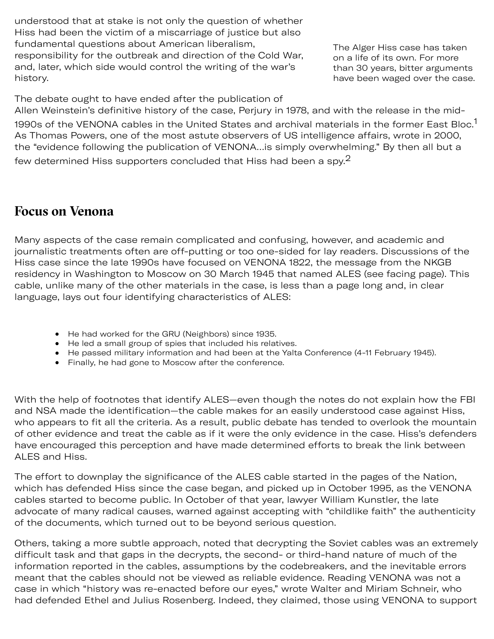understood that at stake is not only the question of whether Hiss had been the victim of a miscarriage of justice but also fundamental questions about American liberalism, responsibility for the outbreak and direction of the Cold War, and, later, which side would control the writing of the war's history.

The Alger Hiss case has taken on a life of its own. For more than 30 years, bitter arguments have been waged over the case.

The debate ought to have ended after the publication of Allen Weinstein's definitive history of the case, Perjury in 1978, and with the release in the mid-

[1](#page-8-0)990s of the VENONA cables in the United States and archival materials in the former East Bloc.<sup>1</sup> As Thomas Powers, one of the most astute observers of US intelligence affairs, wrote in 2000, the "evidence following the publication of VENONA…is simply overwhelming." By then all but a

few determined Hiss supporters concluded that Hiss had been a spy. $2$ 

#### **Focus on Venona**

Many aspects of the case remain complicated and confusing, however, and academic and journalistic treatments often are off-putting or too one-sided for lay readers. Discussions of the Hiss case since the late 1990s have focused on VENONA 1822, the message from the NKGB residency in Washington to Moscow on 30 March 1945 that named ALES (see facing page). This cable, unlike many of the other materials in the case, is less than a page long and, in clear language, lays out four identifying characteristics of ALES:

- He had worked for the GRU (Neighbors) since 1935.
- He led a small group of spies that included his relatives.
- He passed military information and had been at the Yalta Conference (4-11 February 1945).
- Finally, he had gone to Moscow after the conference.

With the help of footnotes that identify ALES—even though the notes do not explain how the FBI and NSA made the identification—the cable makes for an easily understood case against Hiss, who appears to fit all the criteria. As a result, public debate has tended to overlook the mountain of other evidence and treat the cable as if it were the only evidence in the case. Hiss's defenders have encouraged this perception and have made determined efforts to break the link between ALES and Hiss.

The effort to downplay the significance of the ALES cable started in the pages of the Nation, which has defended Hiss since the case began, and picked up in October 1995, as the VENONA cables started to become public. In October of that year, lawyer William Kunstler, the late advocate of many radical causes, warned against accepting with "childlike faith" the authenticity of the documents, which turned out to be beyond serious question.

Others, taking a more subtle approach, noted that decrypting the Soviet cables was an extremely difficult task and that gaps in the decrypts, the second- or third-hand nature of much of the information reported in the cables, assumptions by the codebreakers, and the inevitable errors meant that the cables should not be viewed as reliable evidence. Reading VENONA was not a case in which "history was re-enacted before our eyes," wrote Walter and Miriam Schneir, who had defended Ethel and Julius Rosenberg. Indeed, they claimed, those using VENONA to support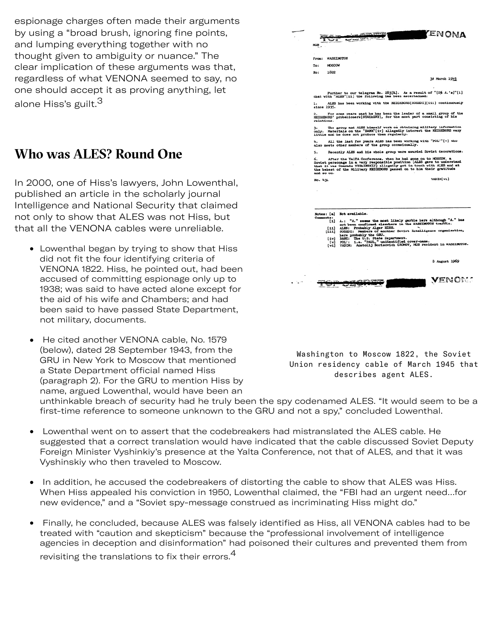espionage charges often made their arguments by using a "broad brush, ignoring fine points, and lumping everything together with no thought given to ambiguity or nuance." The clear implication of these arguments was that, regardless of what VENONA seemed to say, no one should accept it as proving anything, let alone Hiss's guilt. $^3$  $^3$ 

## **Who was ALES? Round One**

In 2000, one of Hiss's lawyers, John Lowenthal, published an article in the scholarly journal Intelligence and National Security that claimed not only to show that ALES was not Hiss, but that all the VENONA cables were unreliable.

- Lowenthal began by trying to show that Hiss did not fit the four identifying criteria of VENONA 1822. Hiss, he pointed out, had been accused of committing espionage only up to 1938; was said to have acted alone except for the aid of his wife and Chambers; and had been said to have passed State Department, not military, documents.
- He cited another VENONA cable, No. 1579  $\bullet$ (below), dated 28 September 1943, from the GRU in New York to Moscow that mentioned a State Department official named Hiss (paragraph 2). For the GRU to mention Hiss by name, argued Lowenthal, would have been an

| <b>ENONA</b>                                                                                                                                                                                                                                                                                                 |
|--------------------------------------------------------------------------------------------------------------------------------------------------------------------------------------------------------------------------------------------------------------------------------------------------------------|
|                                                                                                                                                                                                                                                                                                              |
| <b>MGB</b>                                                                                                                                                                                                                                                                                                   |
|                                                                                                                                                                                                                                                                                                              |
| WASHINGTON<br>From:                                                                                                                                                                                                                                                                                          |
| MOSCOW<br>To:                                                                                                                                                                                                                                                                                                |
| No:<br>1822                                                                                                                                                                                                                                                                                                  |
| 35 March 1945                                                                                                                                                                                                                                                                                                |
|                                                                                                                                                                                                                                                                                                              |
| Further to our telegram No. 263[&]. As a result of "[D\$ A.'s]"[i]<br>chat with "ALES"[11] the following has been ascertained:                                                                                                                                                                               |
| ALES has been working with the NEIGHBORS[SOSEDI][111] continuously<br>ı.<br>aince 1935.                                                                                                                                                                                                                      |
| 2. For some years past he has been the leader of a small group of the NEIGHBORS' probationers[STAZhERY], for the most part consisting of his<br>relations.                                                                                                                                                   |
| The group and ALES himself work on obtaining military information<br>з.<br>only. Materials on the "BANK"[iv] allegedly interest the NEIGHBORS very<br>little and he does not produce them regularly.                                                                                                         |
| All the last few years ALES has been working with "POL'"[v] who<br>also meets other members of the group occasionally.                                                                                                                                                                                       |
| Recently ALES and his whole group were awarded Soviet decorations.<br>5.                                                                                                                                                                                                                                     |
| After the Yall'A Conference, when he had gone on to MOSCOW,<br>6.<br>Soviet personage in a very responsible position (ALES gave to understand that it was Conrade VYShINSKIJ) allegedly got in touch with ALES and at<br>the behest of the Military NEIGHBORS passed on to him their gratitude<br>and so on. |
| VADIM[vi]<br>No. 431                                                                                                                                                                                                                                                                                         |
|                                                                                                                                                                                                                                                                                                              |
|                                                                                                                                                                                                                                                                                                              |
|                                                                                                                                                                                                                                                                                                              |
|                                                                                                                                                                                                                                                                                                              |
| Notes: [a] Not available.                                                                                                                                                                                                                                                                                    |
| Comments:<br>A.: "A." seems the most likely garble here although "A." has<br>111<br>not been confirmed elsewhere in the WASHIMOTON traffic.                                                                                                                                                                  |
| ALES: Probably Alger HISS.<br>[11]<br>SOSEDI: Members of another Soviet Intelligence organization,                                                                                                                                                                                                           |
| [111]<br>here probably the GRU.                                                                                                                                                                                                                                                                              |
| BANK: The U.S. State Department.<br>POL': 1.e. "PAUL," unidentified cover-pame.<br>VADIM: Anatolij Borisovich GROMOV, MDB resident in WASHIROTON.<br>$\{4v\}$<br>(v)                                                                                                                                         |
| [v1]                                                                                                                                                                                                                                                                                                         |
|                                                                                                                                                                                                                                                                                                              |
| 8 August 1969                                                                                                                                                                                                                                                                                                |
|                                                                                                                                                                                                                                                                                                              |
| <b>VENONS</b>                                                                                                                                                                                                                                                                                                |
|                                                                                                                                                                                                                                                                                                              |
|                                                                                                                                                                                                                                                                                                              |
|                                                                                                                                                                                                                                                                                                              |
|                                                                                                                                                                                                                                                                                                              |
|                                                                                                                                                                                                                                                                                                              |
|                                                                                                                                                                                                                                                                                                              |
|                                                                                                                                                                                                                                                                                                              |

Washington to Moscow 1822, the Soviet Union residency cable of March 1945 that describes agent ALES.

unthinkable breach of security had he truly been the spy codenamed ALES. "It would seem to be a first-time reference to someone unknown to the GRU and not a spy," concluded Lowenthal.

- Lowenthal went on to assert that the codebreakers had mistranslated the ALES cable. He  $\bullet$ suggested that a correct translation would have indicated that the cable discussed Soviet Deputy Foreign Minister Vyshinkiy's presence at the Yalta Conference, not that of ALES, and that it was Vyshinskiy who then traveled to Moscow.
- In addition, he accused the codebreakers of distorting the cable to show that ALES was Hiss. When Hiss appealed his conviction in 1950, Lowenthal claimed, the "FBI had an urgent need…for new evidence," and a "Soviet spy-message construed as incriminating Hiss might do."
- Finally, he concluded, because ALES was falsely identified as Hiss, all VENONA cables had to be treated with "caution and skepticism" because the "professional involvement of intelligence agencies in deception and disinformation" had poisoned their cultures and prevented them from revisiting the translations to fix their errors.<sup>[4](#page-9-2)</sup>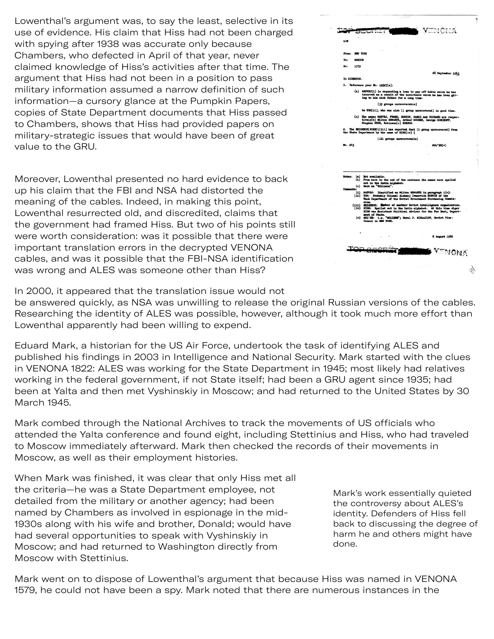Lowenthal's argument was, to say the least, selective in its use of evidence. His claim that Hiss had not been charged with spying after 1938 was accurate only because Chambers, who defected in April of that year, never claimed knowledge of Hiss's activities after that time. The argument that Hiss had not been in a position to pass military information assumed a narrow definition of such information—a cursory glance at the Pumpkin Papers, copies of State Department documents that Hiss passed to Chambers, shows that Hiss had provided papers on military-strategic issues that would have been of great value to the GRU.

Moreover, Lowenthal presented no hard evidence to back up his claim that the FBI and NSA had distorted the meaning of the cables. Indeed, in making this point, Lowenthal resurrected old, and discredited, claims that the government had framed Hiss. But two of his points still were worth consideration: was it possible that there were important translation errors in the decrypted VENONA cables, and was it possible that the FBI-NSA identification was wrong and ALES was someone other than Hiss?

|                     | I VENCNA<br>The Line<br>فأعسأ فتتعالل<br>ü                                                                                                                                                                                                                                                                                                                                                                                                                                                                                                                                                                |
|---------------------|-----------------------------------------------------------------------------------------------------------------------------------------------------------------------------------------------------------------------------------------------------------------------------------------------------------------------------------------------------------------------------------------------------------------------------------------------------------------------------------------------------------------------------------------------------------------------------------------------------------|
|                     |                                                                                                                                                                                                                                                                                                                                                                                                                                                                                                                                                                                                           |
| <b>GRM</b>          |                                                                                                                                                                                                                                                                                                                                                                                                                                                                                                                                                                                                           |
|                     |                                                                                                                                                                                                                                                                                                                                                                                                                                                                                                                                                                                                           |
| From:               | <b>NEW YORK</b>                                                                                                                                                                                                                                                                                                                                                                                                                                                                                                                                                                                           |
| To:                 | KOSCOW                                                                                                                                                                                                                                                                                                                                                                                                                                                                                                                                                                                                    |
| No:                 | 1579                                                                                                                                                                                                                                                                                                                                                                                                                                                                                                                                                                                                      |
|                     | 26 September 1943                                                                                                                                                                                                                                                                                                                                                                                                                                                                                                                                                                                         |
| To DIREKTOR.        |                                                                                                                                                                                                                                                                                                                                                                                                                                                                                                                                                                                                           |
|                     | 1. Reference your No. 12527[a].                                                                                                                                                                                                                                                                                                                                                                                                                                                                                                                                                                           |
|                     | (a) MATVEJ[1] is requesting a loan to pay off debts which he has incurred as a result of the assistance which he has been giv-<br>ing to his sick father for a long time.                                                                                                                                                                                                                                                                                                                                                                                                                                 |
|                     | [33 groups unrecoverable]                                                                                                                                                                                                                                                                                                                                                                                                                                                                                                                                                                                 |
|                     | to TOM[ii], who was also [1 group unrecovered] in good time.                                                                                                                                                                                                                                                                                                                                                                                                                                                                                                                                              |
|                     | (c) The names MATVEJ, FRAHK, GUSTAV, SANDI and RICHARD are respec-<br>tively[b] Milton SHWARTZ, Arthur MOOSEN, George GORCHOFF, Stephan RICH, Robinson[c] BOBROW.                                                                                                                                                                                                                                                                                                                                                                                                                                         |
|                     | 2. The NEIGHBOR[SOSED][111] has reported that [1 group unrecovered] from<br>the State Department by the name of HISS[1v] (                                                                                                                                                                                                                                                                                                                                                                                                                                                                                |
|                     |                                                                                                                                                                                                                                                                                                                                                                                                                                                                                                                                                                                                           |
|                     | [121 groups unrecoverable]                                                                                                                                                                                                                                                                                                                                                                                                                                                                                                                                                                                |
| Bo. 243             | MOL'ER[v]                                                                                                                                                                                                                                                                                                                                                                                                                                                                                                                                                                                                 |
| Notas:<br>Companta: | Not available.<br>(a)<br><b>[ъ]</b><br>From here to the end of the sentence the names vere spelled<br>out in the Latin alphabet.<br>Sent as "Ribinson".<br>[ <sub>c</sub> ]<br>MATVEJ: Identified as Milton SHWARTZ in paragraph 1(c).<br>[1]<br>TOM: Probably Colonel Aleksej Ivanovich SORVIN of the<br>[11]<br>Tank Department of the Soviet Government Purchasing Commis-<br>sion.<br>MEIGHBOR: Mamber of another Soviet intelligence organization.<br>[111]<br>[1v]<br>HISS: Spelled out in the Latin alphabet. At this time Alger<br>HISS was Assistant Political Adviser for the Far East, Depart- |
|                     | ment of State.<br>[v] MOL'ER: i.e. "MOLIERE"; Pavel P. MIKhAJLOV, Soviet Vice-Consul in HEW YORK.                                                                                                                                                                                                                                                                                                                                                                                                                                                                                                         |
|                     | 8 August 1969                                                                                                                                                                                                                                                                                                                                                                                                                                                                                                                                                                                             |
|                     | <b>ENONA</b>                                                                                                                                                                                                                                                                                                                                                                                                                                                                                                                                                                                              |

In 2000, it appeared that the translation issue would not

be answered quickly, as NSA was unwilling to release the original Russian versions of the cables. Researching the identity of ALES was possible, however, although it took much more effort than Lowenthal apparently had been willing to expend.

Eduard Mark, a historian for the US Air Force, undertook the task of identifying ALES and published his findings in 2003 in Intelligence and National Security. Mark started with the clues in VENONA 1822: ALES was working for the State Department in 1945; most likely had relatives working in the federal government, if not State itself; had been a GRU agent since 1935; had been at Yalta and then met Vyshinskiy in Moscow; and had returned to the United States by 30 March 1945.

Mark combed through the National Archives to track the movements of US officials who attended the Yalta conference and found eight, including Stettinius and Hiss, who had traveled to Moscow immediately afterward. Mark then checked the records of their movements in Moscow, as well as their employment histories.

When Mark was finished, it was clear that only Hiss met all the criteria—he was a State Department employee, not detailed from the military or another agency; had been named by Chambers as involved in espionage in the mid-1930s along with his wife and brother, Donald; would have had several opportunities to speak with Vyshinskiy in Moscow; and had returned to Washington directly from Moscow with Stettinius.

Mark's work essentially quieted the controversy about ALES's identity. Defenders of Hiss fell back to discussing the degree of harm he and others might have done.

Mark went on to dispose of Lowenthal's argument that because Hiss was named in VENONA 1579, he could not have been a spy. Mark noted that there are numerous instances in the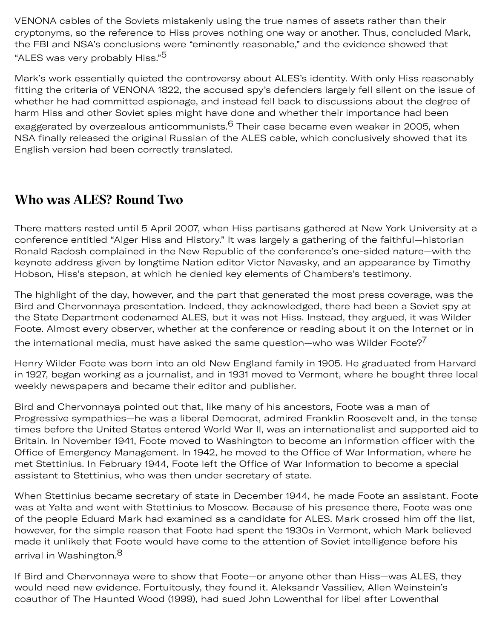VENONA cables of the Soviets mistakenly using the true names of assets rather than their cryptonyms, so the reference to Hiss proves nothing one way or another. Thus, concluded Mark, the FBI and NSA's conclusions were "eminently reasonable," and the evidence showed that "ALES was very probably Hiss."<sup>[5](#page-9-3)</sup>

Mark's work essentially quieted the controversy about ALES's identity. With only Hiss reasonably fitting the criteria of VENONA 1822, the accused spy's defenders largely fell silent on the issue of whether he had committed espionage, and instead fell back to discussions about the degree of harm Hiss and other Soviet spies might have done and whether their importance had been exaggerated by overzealous anticommunists.<sup>6</sup> Their case became even weaker in 2005, when NSA finally released the original Russian of the ALES cable, which conclusively showed that its English version had been correctly translated.

# **Who was ALES? Round Two**

There matters rested until 5 April 2007, when Hiss partisans gathered at New York University at a conference entitled "Alger Hiss and History." It was largely a gathering of the faithful—historian Ronald Radosh complained in the New Republic of the conference's one-sided nature—with the keynote address given by longtime Nation editor Victor Navasky, and an appearance by Timothy Hobson, Hiss's stepson, at which he denied key elements of Chambers's testimony.

The highlight of the day, however, and the part that generated the most press coverage, was the Bird and Chervonnaya presentation. Indeed, they acknowledged, there had been a Soviet spy at the State Department codenamed ALES, but it was not Hiss. Instead, they argued, it was Wilder Foote. Almost every observer, whether at the conference or reading about it on the Internet or in the international media, must have asked the same question—who was Wilder Foote?<sup>[7](#page-9-5)</sup>

Henry Wilder Foote was born into an old New England family in 1905. He graduated from Harvard in 1927, began working as a journalist, and in 1931 moved to Vermont, where he bought three local weekly newspapers and became their editor and publisher.

Bird and Chervonnaya pointed out that, like many of his ancestors, Foote was a man of Progressive sympathies—he was a liberal Democrat, admired Franklin Roosevelt and, in the tense times before the United States entered World War II, was an internationalist and supported aid to Britain. In November 1941, Foote moved to Washington to become an information officer with the Office of Emergency Management. In 1942, he moved to the Office of War Information, where he met Stettinius. In February 1944, Foote left the Office of War Information to become a special assistant to Stettinius, who was then under secretary of state.

When Stettinius became secretary of state in December 1944, he made Foote an assistant. Foote was at Yalta and went with Stettinius to Moscow. Because of his presence there, Foote was one of the people Eduard Mark had examined as a candidate for ALES. Mark crossed him off the list, however, for the simple reason that Foote had spent the 1930s in Vermont, which Mark believed made it unlikely that Foote would have come to the attention of Soviet intelligence before his arrival in Washington. $^8$  $^8$ 

If Bird and Chervonnaya were to show that Foote—or anyone other than Hiss—was ALES, they would need new evidence. Fortuitously, they found it. Aleksandr Vassiliev, Allen Weinstein's coauthor of The Haunted Wood (1999), had sued John Lowenthal for libel after Lowenthal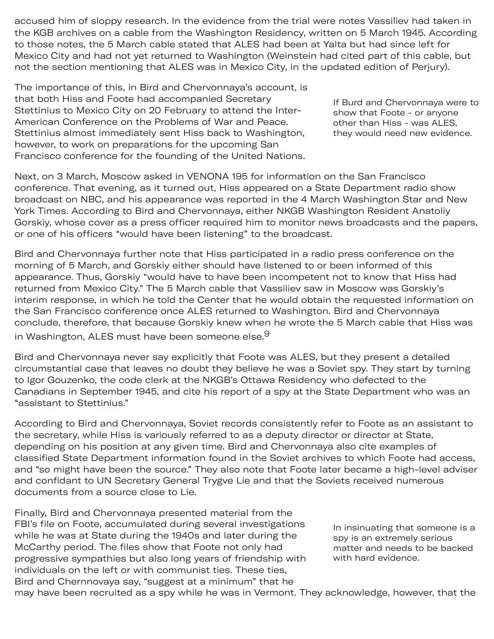accused him of sloppy research. In the evidence from the trial were notes Vassiliev had taken in the KGB archives on a cable from the Washington Residency, written on 5 March 1945. According to those notes, the 5 March cable stated that ALES had been at Yalta but had since left for Mexico City and had not yet returned to Washington (Weinstein had cited part of this cable, but not the section mentioning that ALES was in Mexico City, in the updated edition of Perjury).

The importance of this, in Bird and Chervonnaya's account, is that both Hiss and Foote had accompanied Secretary Stettinius to Mexico City on 20 February to attend the Inter-American Conference on the Problems of War and Peace. Stettinius almost immediately sent Hiss back to Washington, however, to work on preparations for the upcoming San Francisco conference for the founding of the United Nations.

If Burd and Chervonnaya were to show that Foote - or anyone other than Hiss - was ALES, they would need new evidence.

Next, on 3 March, Moscow asked in VENONA 195 for information on the San Francisco conference. That evening, as it turned out, Hiss appeared on a State Department radio show broadcast on NBC, and his appearance was reported in the 4 March Washington Star and New York Times. According to Bird and Chervonnaya, either NKGB Washington Resident Anatoliy Gorskiy, whose cover as a press officer required him to monitor news broadcasts and the papers, or one of his officers "would have been listening" to the broadcast.

Bird and Chervonnaya further note that Hiss participated in a radio press conference on the morning of 5 March, and Gorskiy either should have listened to or been informed of this appearance. Thus, Gorskiy "would have to have been incompetent not to know that Hiss had returned from Mexico City." The 5 March cable that Vassiliev saw in Moscow was Gorskiy's interim response, in which he told the Center that he would obtain the requested information on the San Francisco conference once ALES returned to Washington. Bird and Chervonnaya conclude, therefore, that because Gorskiy knew when he wrote the 5 March cable that Hiss was in Washington, ALES must have been someone else.<sup>[9](#page-9-7)</sup>

Bird and Chervonnaya never say explicitly that Foote was ALES, but they present a detailed circumstantial case that leaves no doubt they believe he was a Soviet spy. They start by turning to Igor Gouzenko, the code clerk at the NKGB's Ottawa Residency who defected to the Canadians in September 1945, and cite his report of a spy at the State Department who was an "assistant to Stettinius."

According to Bird and Chervonnaya, Soviet records consistently refer to Foote as an assistant to the secretary, while Hiss is variously referred to as a deputy director or director at State, depending on his position at any given time. Bird and Chervonnaya also cite examples of classified State Department information found in the Soviet archives to which Foote had access, and "so might have been the source." They also note that Foote later became a high-level adviser and confidant to UN Secretary General Trygve Lie and that the Soviets received numerous documents from a source close to Lie.

Finally, Bird and Chervonnaya presented material from the FBI's file on Foote, accumulated during several investigations while he was at State during the 1940s and later during the McCarthy period. The files show that Foote not only had progressive sympathies but also long years of friendship with individuals on the left or with communist ties. These ties, Bird and Chernnovaya say, "suggest at a minimum" that he

In insinuating that someone is a spy is an extremely serious matter and needs to be backed with hard evidence.

may have been recruited as a spy while he was in Vermont. They acknowledge, however, that the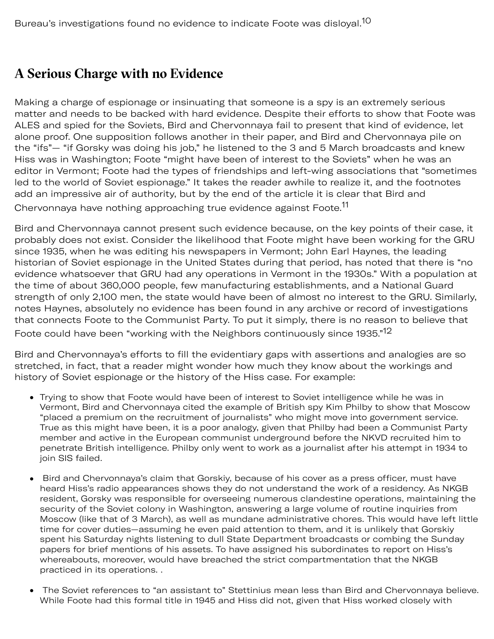## **A Serious Charge with no Evidence**

Making a charge of espionage or insinuating that someone is a spy is an extremely serious matter and needs to be backed with hard evidence. Despite their efforts to show that Foote was ALES and spied for the Soviets, Bird and Chervonnaya fail to present that kind of evidence, let alone proof. One supposition follows another in their paper, and Bird and Chervonnaya pile on the "ifs"— "if Gorsky was doing his job," he listened to the 3 and 5 March broadcasts and knew Hiss was in Washington; Foote "might have been of interest to the Soviets" when he was an editor in Vermont; Foote had the types of friendships and left-wing associations that "sometimes led to the world of Soviet espionage." It takes the reader awhile to realize it, and the footnotes add an impressive air of authority, but by the end of the article it is clear that Bird and Chervonnaya have nothing approaching true evidence against Foote.<sup>[11](#page-10-0)</sup>

Bird and Chervonnaya cannot present such evidence because, on the key points of their case, it probably does not exist. Consider the likelihood that Foote might have been working for the GRU since 1935, when he was editing his newspapers in Vermont; John Earl Haynes, the leading historian of Soviet espionage in the United States during that period, has noted that there is "no evidence whatsoever that GRU had any operations in Vermont in the 1930s." With a population at the time of about 360,000 people, few manufacturing establishments, and a National Guard strength of only 2,100 men, the state would have been of almost no interest to the GRU. Similarly, notes Haynes, absolutely no evidence has been found in any archive or record of investigations that connects Foote to the Communist Party. To put it simply, there is no reason to believe that Foote could have been "working with the Neighbors continuously since 1935."<sup>12</sup>

Bird and Chervonnaya's efforts to fill the evidentiary gaps with assertions and analogies are so stretched, in fact, that a reader might wonder how much they know about the workings and history of Soviet espionage or the history of the Hiss case. For example:

- Trying to show that Foote would have been of interest to Soviet intelligence while he was in Vermont, Bird and Chervonnaya cited the example of British spy Kim Philby to show that Moscow "placed a premium on the recruitment of journalists" who might move into government service. True as this might have been, it is a poor analogy, given that Philby had been a Communist Party member and active in the European communist underground before the NKVD recruited him to penetrate British intelligence. Philby only went to work as a journalist after his attempt in 1934 to join SIS failed.
- Bird and Chervonnaya's claim that Gorskiy, because of his cover as a press officer, must have  $\bullet$ heard Hiss's radio appearances shows they do not understand the work of a residency. As NKGB resident, Gorsky was responsible for overseeing numerous clandestine operations, maintaining the security of the Soviet colony in Washington, answering a large volume of routine inquiries from Moscow (like that of 3 March), as well as mundane administrative chores. This would have left little time for cover duties—assuming he even paid attention to them, and it is unlikely that Gorskiy spent his Saturday nights listening to dull State Department broadcasts or combing the Sunday papers for brief mentions of his assets. To have assigned his subordinates to report on Hiss's whereabouts, moreover, would have breached the strict compartmentation that the NKGB practiced in its operations. .
- The Soviet references to "an assistant to" Stettinius mean less than Bird and Chervonnaya believe. While Foote had this formal title in 1945 and Hiss did not, given that Hiss worked closely with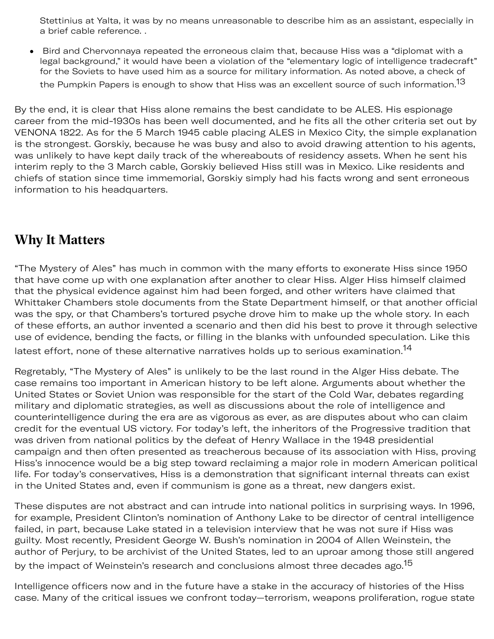Stettinius at Yalta, it was by no means unreasonable to describe him as an assistant, especially in a brief cable reference. .

 Bird and Chervonnaya repeated the erroneous claim that, because Hiss was a "diplomat with a  $\bullet$ legal background," it would have been a violation of the "elementary logic of intelligence tradecraft" for the Soviets to have used him as a source for military information. As noted above, a check of the Pumpkin Papers is enough to show that Hiss was an excellent source of such information.<sup>[13](#page-10-2)</sup>

By the end, it is clear that Hiss alone remains the best candidate to be ALES. His espionage career from the mid-1930s has been well documented, and he fits all the other criteria set out by VENONA 1822. As for the 5 March 1945 cable placing ALES in Mexico City, the simple explanation is the strongest. Gorskiy, because he was busy and also to avoid drawing attention to his agents, was unlikely to have kept daily track of the whereabouts of residency assets. When he sent his interim reply to the 3 March cable, Gorskiy believed Hiss still was in Mexico. Like residents and chiefs of station since time immemorial, Gorskiy simply had his facts wrong and sent erroneous information to his headquarters.

# **Why It Matters**

"The Mystery of Ales" has much in common with the many efforts to exonerate Hiss since 1950 that have come up with one explanation after another to clear Hiss. Alger Hiss himself claimed that the physical evidence against him had been forged, and other writers have claimed that Whittaker Chambers stole documents from the State Department himself, or that another official was the spy, or that Chambers's tortured psyche drove him to make up the whole story. In each of these efforts, an author invented a scenario and then did his best to prove it through selective use of evidence, bending the facts, or filling in the blanks with unfounded speculation. Like this latest effort, none of these alternative narratives holds up to serious examination.<sup>[14](#page-10-3)</sup>

Regretably, "The Mystery of Ales" is unlikely to be the last round in the Alger Hiss debate. The case remains too important in American history to be left alone. Arguments about whether the United States or Soviet Union was responsible for the start of the Cold War, debates regarding military and diplomatic strategies, as well as discussions about the role of intelligence and counterintelligence during the era are as vigorous as ever, as are disputes about who can claim credit for the eventual US victory. For today's left, the inheritors of the Progressive tradition that was driven from national politics by the defeat of Henry Wallace in the 1948 presidential campaign and then often presented as treacherous because of its association with Hiss, proving Hiss's innocence would be a big step toward reclaiming a major role in modern American political life. For today's conservatives, Hiss is a demonstration that significant internal threats can exist in the United States and, even if communism is gone as a threat, new dangers exist.

These disputes are not abstract and can intrude into national politics in surprising ways. In 1996, for example, President Clinton's nomination of Anthony Lake to be director of central intelligence failed, in part, because Lake stated in a television interview that he was not sure if Hiss was guilty. Most recently, President George W. Bush's nomination in 2004 of Allen Weinstein, the author of Perjury, to be archivist of the United States, led to an uproar among those still angered by the impact of Weinstein's research and conclusions almost three decades ago.<sup>[15](#page-10-4)</sup>

Intelligence officers now and in the future have a stake in the accuracy of histories of the Hiss case. Many of the critical issues we confront today—terrorism, weapons proliferation, rogue state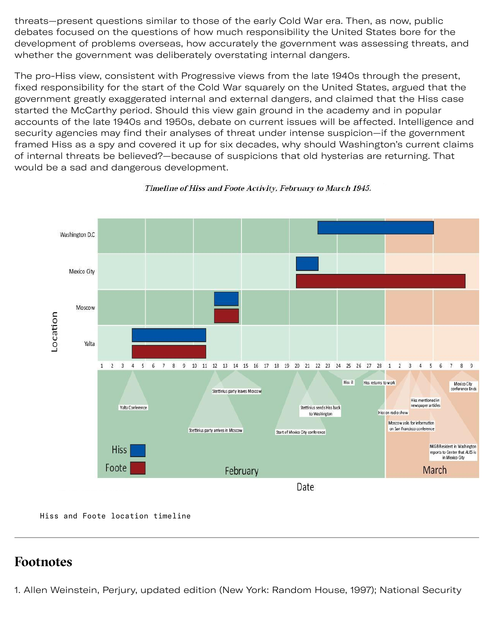threats—present questions similar to those of the early Cold War era. Then, as now, public debates focused on the questions of how much responsibility the United States bore for the development of problems overseas, how accurately the government was assessing threats, and whether the government was deliberately overstating internal dangers.

The pro-Hiss view, consistent with Progressive views from the late 1940s through the present, fixed responsibility for the start of the Cold War squarely on the United States, argued that the government greatly exaggerated internal and external dangers, and claimed that the Hiss case started the McCarthy period. Should this view gain ground in the academy and in popular accounts of the late 1940s and 1950s, debate on current issues will be affected. Intelligence and security agencies may find their analyses of threat under intense suspicion—if the government framed Hiss as a spy and covered it up for six decades, why should Washington's current claims of internal threats be believed?—because of suspicions that old hysterias are returning. That would be a sad and dangerous development.



Timeline of Hiss and Foote Activity, February to March 1945.

[Hiss and Foote location timeline](file:///library/center-for-the-study-of-intelligence/csi-publications/csi-studies/studies/vol51no4/images/timelien.JPG/image.jpg)

#### **Footnotes**

<span id="page-8-0"></span>1. Allen Weinstein, Perjury, updated edition (New York: Random House, 1997); National Security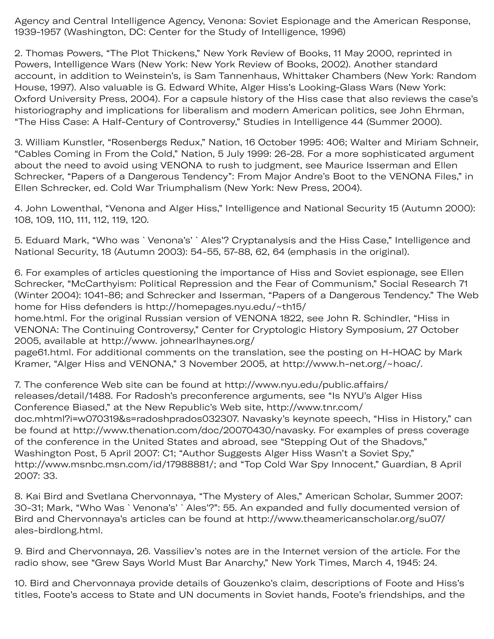Agency and Central Intelligence Agency, Venona: Soviet Espionage and the American Response, 1939-1957 (Washington, DC: Center for the Study of Intelligence, 1996)

<span id="page-9-0"></span>2. Thomas Powers, "The Plot Thickens," New York Review of Books, 11 May 2000, reprinted in Powers, Intelligence Wars (New York: New York Review of Books, 2002). Another standard account, in addition to Weinstein's, is Sam Tannenhaus, Whittaker Chambers (New York: Random House, 1997). Also valuable is G. Edward White, Alger Hiss's Looking-Glass Wars (New York: Oxford University Press, 2004). For a capsule history of the Hiss case that also reviews the case's historiography and implications for liberalism and modern American politics, see John Ehrman, "The Hiss Case: A Half-Century of Controversy," Studies in Intelligence 44 (Summer 2000).

<span id="page-9-1"></span>3. William Kunstler, "Rosenbergs Redux," Nation, 16 October 1995: 406; Walter and Miriam Schneir, "Cables Coming in From the Cold," Nation, 5 July 1999: 26-28. For a more sophisticated argument about the need to avoid using VENONA to rush to judgment, see Maurice Isserman and Ellen Schrecker, "Papers of a Dangerous Tendency": From Major Andre's Boot to the VENONA Files," in Ellen Schrecker, ed. Cold War Triumphalism (New York: New Press, 2004).

<span id="page-9-2"></span>4. John Lowenthal, "Venona and Alger Hiss," Intelligence and National Security 15 (Autumn 2000): 108, 109, 110, 111, 112, 119, 120.

<span id="page-9-3"></span>5. Eduard Mark, "Who was `Venona's' `Ales'? Cryptanalysis and the Hiss Case," Intelligence and National Security, 18 (Autumn 2003): 54-55, 57-88, 62, 64 (emphasis in the original).

<span id="page-9-4"></span>6. For examples of articles questioning the importance of Hiss and Soviet espionage, see Ellen Schrecker, "McCarthyism: Political Repression and the Fear of Communism," Social Research 71 (Winter 2004): 1041-86; and Schrecker and Isserman, "Papers of a Dangerous Tendency." The Web home for Hiss defenders is http://homepages.nyu.edu/~th15/

home.html. For the original Russian version of VENONA 1822, see John R. Schindler, "Hiss in VENONA: The Continuing Controversy," Center for Cryptologic History Symposium, 27 October 2005, available at http://www. johnearlhaynes.org/

page61.html. For additional comments on the translation, see the posting on H-HOAC by Mark Kramer, "Alger Hiss and VENONA," 3 November 2005, at http://www.h-net.org/~hoac/.

<span id="page-9-5"></span>7. The conference Web site can be found at http://www.nyu.edu/public.affairs/ releases/detail/1488. For Radosh's preconference arguments, see "Is NYU's Alger Hiss Conference Biased," at the New Republic's Web site, http://www.tnr.com/ doc.mhtml?i=w070319&s=radoshprados032307. Navasky's keynote speech, "Hiss in History," can be found at http://www.thenation.com/doc/20070430/navasky. For examples of press coverage of the conference in the United States and abroad, see "Stepping Out of the Shadovs," Washington Post, 5 April 2007: C1; "Author Suggests Alger Hiss Wasn't a Soviet Spy," http://www.msnbc.msn.com/id/17988881/; and "Top Cold War Spy Innocent," Guardian, 8 April 2007: 33.

<span id="page-9-6"></span>8. Kai Bird and Svetlana Chervonnaya, "The Mystery of Ales," American Scholar, Summer 2007: 30-31; Mark, "Who Was `Venona's' `Ales'?": 55. An expanded and fully documented version of Bird and Chervonnaya's articles can be found at http://www.theamericanscholar.org/su07/ ales-birdlong.html.

<span id="page-9-7"></span>9. Bird and Chervonnaya, 26. Vassiliev's notes are in the Internet version of the article. For the radio show, see "Grew Says World Must Bar Anarchy," New York Times, March 4, 1945: 24.

<span id="page-9-8"></span>10. Bird and Chervonnaya provide details of Gouzenko's claim, descriptions of Foote and Hiss's titles, Foote's access to State and UN documents in Soviet hands, Foote's friendships, and the